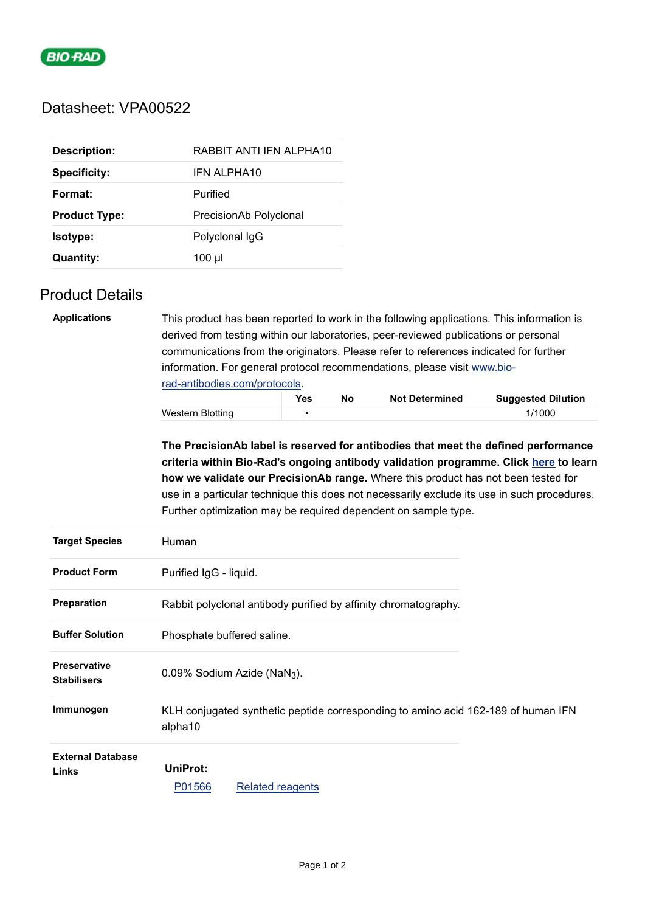

# Datasheet: VPA00522

| <b>Description:</b>  | RABBIT ANTI IFN ALPHA10 |
|----------------------|-------------------------|
| <b>Specificity:</b>  | <b>IFN ALPHA10</b>      |
| Format:              | Purified                |
| <b>Product Type:</b> | PrecisionAb Polyclonal  |
| <b>Isotype:</b>      | Polyclonal IqG          |
| <b>Quantity:</b>     | 100 µl                  |

## Product Details

| <b>Applications</b>   | This product has been reported to work in the following applications. This information is<br>derived from testing within our laboratories, peer-reviewed publications or personal<br>communications from the originators. Please refer to references indicated for further<br>information. For general protocol recommendations, please visit www.bio-<br>rad-antibodies.com/protocols.                                          |            |    |                       |                           |  |
|-----------------------|----------------------------------------------------------------------------------------------------------------------------------------------------------------------------------------------------------------------------------------------------------------------------------------------------------------------------------------------------------------------------------------------------------------------------------|------------|----|-----------------------|---------------------------|--|
|                       |                                                                                                                                                                                                                                                                                                                                                                                                                                  | <b>Yes</b> | No | <b>Not Determined</b> | <b>Suggested Dilution</b> |  |
|                       | Western Blotting                                                                                                                                                                                                                                                                                                                                                                                                                 | п          |    |                       | 1/1000                    |  |
|                       | The PrecisionAb label is reserved for antibodies that meet the defined performance<br>criteria within Bio-Rad's ongoing antibody validation programme. Click here to learn<br>how we validate our PrecisionAb range. Where this product has not been tested for<br>use in a particular technique this does not necessarily exclude its use in such procedures.<br>Further optimization may be required dependent on sample type. |            |    |                       |                           |  |
| <b>Target Species</b> | Human                                                                                                                                                                                                                                                                                                                                                                                                                            |            |    |                       |                           |  |
| <b>Product Form</b>   | Purified IgG - liquid.                                                                                                                                                                                                                                                                                                                                                                                                           |            |    |                       |                           |  |
| <b>Preparation</b>    | Rabbit polyclonal antibody purified by affinity chromatography.                                                                                                                                                                                                                                                                                                                                                                  |            |    |                       |                           |  |

| Preparation                               |                    | Rabbit polycional antibody purified by affinity chromatography.                   |  |
|-------------------------------------------|--------------------|-----------------------------------------------------------------------------------|--|
| <b>Buffer Solution</b>                    |                    | Phosphate buffered saline.                                                        |  |
| <b>Preservative</b><br><b>Stabilisers</b> |                    | $0.09\%$ Sodium Azide (NaN <sub>3</sub> ).                                        |  |
| Immunogen                                 | alpha10            | KLH conjugated synthetic peptide corresponding to amino acid 162-189 of human IFN |  |
| <b>External Database</b><br>Links         | UniProt:<br>P01566 | Related reagents                                                                  |  |